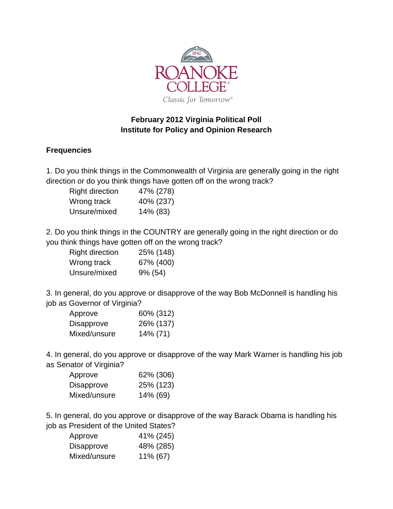

## **February 2012 Virginia Political Poll Institute for Policy and Opinion Research**

## **Frequencies**

1. Do you think things in the Commonwealth of Virginia are generally going in the right direction or do you think things have gotten off on the wrong track?

| <b>Right direction</b> | 47% (278) |
|------------------------|-----------|
| Wrong track            | 40% (237) |
| Unsure/mixed           | 14% (83)  |

2. Do you think things in the COUNTRY are generally going in the right direction or do you think things have gotten off on the wrong track?

| <b>Right direction</b> | 25% (148) |
|------------------------|-----------|
| Wrong track            | 67% (400) |
| Unsure/mixed           | 9% (54)   |

3. In general, do you approve or disapprove of the way Bob McDonnell is handling his job as Governor of Virginia?

| Approve           | 60% (312) |
|-------------------|-----------|
| <b>Disapprove</b> | 26% (137) |
| Mixed/unsure      | 14% (71)  |

4. In general, do you approve or disapprove of the way Mark Warner is handling his job as Senator of Virginia?

| Approve      | 62% (306) |
|--------------|-----------|
| Disapprove   | 25% (123) |
| Mixed/unsure | 14% (69)  |

5. In general, do you approve or disapprove of the way Barack Obama is handling his job as President of the United States?

| Approve           | 41% (245) |
|-------------------|-----------|
| <b>Disapprove</b> | 48% (285) |
| Mixed/unsure      | 11% (67)  |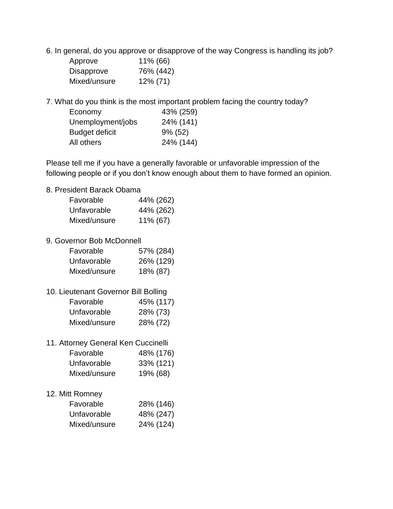6. In general, do you approve or disapprove of the way Congress is handling its job?

| Approve           | 11% (66)    |
|-------------------|-------------|
| <b>Disapprove</b> | 76% (442)   |
| Mixed/unsure      | $12\% (71)$ |

7. What do you think is the most important problem facing the country today?

| Economy               | 43% (259)  |
|-----------------------|------------|
| Unemployment/jobs     | 24% (141)  |
| <b>Budget deficit</b> | $9\%$ (52) |
| All others            | 24% (144)  |

Please tell me if you have a generally favorable or unfavorable impression of the following people or if you don't know enough about them to have formed an opinion.

## 8. President Barack Obama

| Favorable                            | 44% (262) |
|--------------------------------------|-----------|
| Unfavorable                          | 44% (262) |
| Mixed/unsure                         | 11% (67)  |
| 9. Governor Bob McDonnell            |           |
| Favorable                            | 57% (284) |
| Unfavorable                          | 26% (129) |
| Mixed/unsure                         | 18% (87)  |
| 10. Lieutenant Governor Bill Bolling |           |
| Favorable                            | 45% (117) |
| Unfavorable                          | 28% (73)  |
| Mixed/unsure                         | 28% (72)  |
| 11. Attorney General Ken Cuccinelli  |           |
| Favorable                            | 48% (176) |
| Unfavorable                          | 33% (121) |
| Mixed/unsure                         | 19% (68)  |
| 12. Mitt Romney                      |           |
| Favorable                            | 28% (146) |
| Unfavorable                          | 48% (247) |
| Mixed/unsure                         | 24% (124) |
|                                      |           |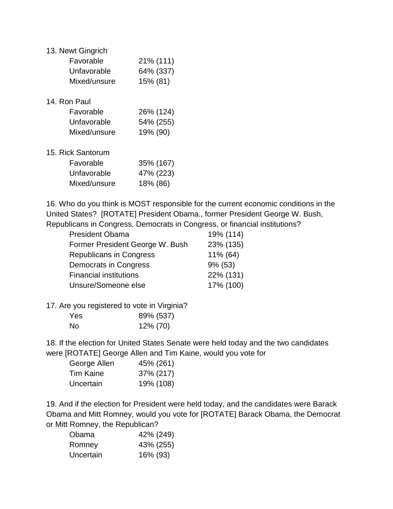| 13. Newt Gingrich |           |  |
|-------------------|-----------|--|
| Favorable         | 21% (111) |  |
| Unfavorable       | 64% (337) |  |
| Mixed/unsure      | 15% (81)  |  |
| 14. Ron Paul      |           |  |
| Favorable         | 26% (124) |  |
| Unfavorable       | 54% (255) |  |
| Mixed/unsure      | 19% (90)  |  |
| 15. Rick Santorum |           |  |
| Favorable         | 35% (167) |  |
| Unfavorable       | 47% (223) |  |
| Mixed/unsure      | 18% (86)  |  |

16. Who do you think is MOST responsible for the current economic conditions in the United States? [ROTATE] President Obama., former President George W. Bush, Republicans in Congress, Democrats in Congress, or financial institutions?

| <b>President Obama</b>          | 19% (114)  |
|---------------------------------|------------|
| Former President George W. Bush | 23% (135)  |
| <b>Republicans in Congress</b>  | 11% (64)   |
| Democrats in Congress           | $9\%$ (53) |
| <b>Financial institutions</b>   | 22% (131)  |
| Unsure/Someone else             | 17% (100)  |

17. Are you registered to vote in Virginia?

| <b>Yes</b> | 89% (537) |
|------------|-----------|
| <b>No</b>  | 12% (70)  |

18. If the election for United States Senate were held today and the two candidates were [ROTATE] George Allen and Tim Kaine, would you vote for

| George Allen     | 45% (261) |
|------------------|-----------|
| <b>Tim Kaine</b> | 37% (217) |
| Uncertain        | 19% (108) |

19. And if the election for President were held today, and the candidates were Barack Obama and Mitt Romney, would you vote for [ROTATE] Barack Obama, the Democrat or Mitt Romney, the Republican?

| Obama     | 42% (249) |
|-----------|-----------|
| Romney    | 43% (255) |
| Uncertain | 16% (93)  |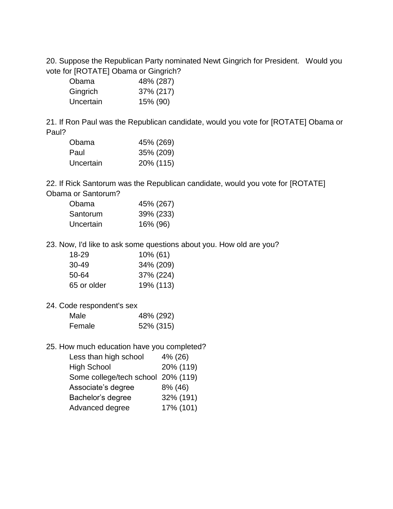20. Suppose the Republican Party nominated Newt Gingrich for President. Would you vote for [ROTATE] Obama or Gingrich?

| Obama     | 48% (287) |
|-----------|-----------|
| Gingrich  | 37% (217) |
| Uncertain | 15% (90)  |

21. If Ron Paul was the Republican candidate, would you vote for [ROTATE] Obama or Paul?

| Obama     | 45% (269) |
|-----------|-----------|
| Paul      | 35% (209) |
| Uncertain | 20% (115) |

22. If Rick Santorum was the Republican candidate, would you vote for [ROTATE] Obama or Santorum?

| Obama     | 45% (267) |
|-----------|-----------|
| Santorum  | 39% (233) |
| Uncertain | 16% (96)  |

23. Now, I'd like to ask some questions about you. How old are you?

| 18-29       | $10\%$ (61) |
|-------------|-------------|
| 30-49       | 34% (209)   |
| 50-64       | 37% (224)   |
| 65 or older | 19% (113)   |

24. Code respondent's sex

| Male   | 48% (292) |
|--------|-----------|
| Female | 52% (315) |

25. How much education have you completed?

| Less than high school              | 4% (26)   |
|------------------------------------|-----------|
| <b>High School</b>                 | 20% (119) |
| Some college/tech school 20% (119) |           |
| Associate's degree                 | 8% (46)   |
| Bachelor's degree                  | 32% (191) |
| Advanced degree                    | 17% (101) |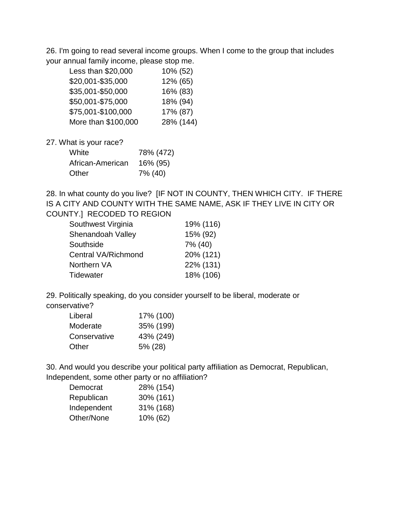26. I'm going to read several income groups. When I come to the group that includes your annual family income, please stop me.

| Less than \$20,000  | 10% (52)  |
|---------------------|-----------|
| \$20,001-\$35,000   | 12% (65)  |
| \$35,001-\$50,000   | 16% (83)  |
| \$50,001-\$75,000   | 18% (94)  |
| \$75,001-\$100,000  | 17% (87)  |
| More than \$100,000 | 28% (144) |
|                     |           |

27. What is your race?

| White            | 78% (472) |
|------------------|-----------|
| African-American | 16% (95)  |
| Other            | 7% (40)   |

28. In what county do you live? [IF NOT IN COUNTY, THEN WHICH CITY. IF THERE IS A CITY AND COUNTY WITH THE SAME NAME, ASK IF THEY LIVE IN CITY OR COUNTY.] RECODED TO REGION

| Southwest Virginia         | 19% (116) |
|----------------------------|-----------|
| Shenandoah Valley          | 15% (92)  |
| Southside                  | 7% (40)   |
| <b>Central VA/Richmond</b> | 20% (121) |
| Northern VA                | 22% (131) |
| <b>Tidewater</b>           | 18% (106) |

29. Politically speaking, do you consider yourself to be liberal, moderate or conservative?

| Liberal      | 17% (100) |
|--------------|-----------|
| Moderate     | 35% (199) |
| Conservative | 43% (249) |
| Other        | 5% (28)   |

30. And would you describe your political party affiliation as Democrat, Republican, Independent, some other party or no affiliation?

| 28% (154) |
|-----------|
| 30% (161) |
| 31% (168) |
| 10% (62)  |
|           |